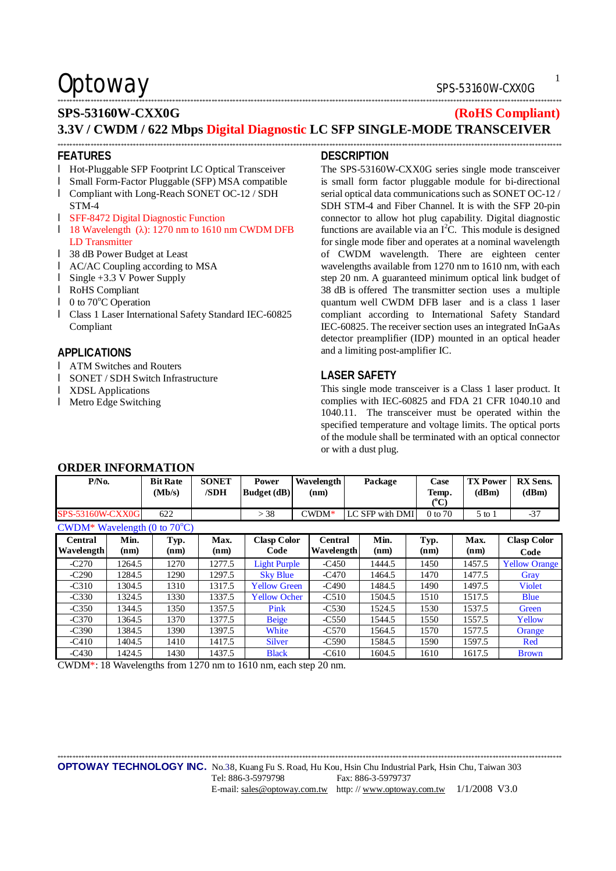## Optoway SPS-53160W-CXX0G

### \*\*\*\*\*\*\*\*\*\*\*\*\*\*\*\*\*\*\*\*\*\*\*\*\*\*\*\*\*\*\*\*\*\*\*\*\*\*\*\*\*\*\*\*\*\*\*\*\*\*\*\*\*\*\*\*\*\*\*\*\*\*\*\*\*\*\*\*\*\*\*\*\*\*\*\*\*\*\*\*\*\*\*\*\*\*\*\*\*\*\*\*\*\*\*\*\*\*\*\*\*\*\*\*\*\*\*\*\*\*\*\*\*\*\*\*\*\*\*\*\*\*\*\*\*\*\*\*\*\*\*\*\*\*\*\*\*\*\*\*\*\*\*\*\*\*\*\*\*\*\*\*\*\*\*\*\*\*\*\*\*\*\*\*\*\*\*

### **SPS-53160W-CXX0G (RoHS Compliant) 3.3V / CWDM / 622 Mbps Digital Diagnostic LC SFP SINGLE-MODE TRANSCEIVER**

\*\*\*\*\*\*\*\*\*\*\*\*\*\*\*\*\*\*\*\*\*\*\*\*\*\*\*\*\*\*\*\*\*\*\*\*\*\*\*\*\*\*\*\*\*\*\*\*\*\*\*\*\*\*\*\*\*\*\*\*\*\*\*\*\*\*\*\*\*\*\*\*\*\*\*\*\*\*\*\*\*\*\*\*\*\*\*\*\*\*\*\*\*\*\*\*\*\*\*\*\*\*\*\*\*\*\*\*\*\*\*\*\*\*\*\*\*\*\*\*\*\*\*\*\*\*\*\*\*\*\*\*\*\*\*\*\*\*\*\*\*\*\*\*\*\*\*\*\*\*\*\*\*\*\*\*\*\*\*\*\*\*\*\*\*\*\*

#### **FEATURES**

- l Hot-Pluggable SFP Footprint LC Optical Transceiver
- l Small Form-Factor Pluggable (SFP) MSA compatible
- l Compliant with Long-Reach SONET OC-12 / SDH STM-4
- l SFF-8472 Digital Diagnostic Function
- l 18 Wavelength (λ): 1270 nm to 1610 nm CWDM DFB LD Transmitter
- l 38 dB Power Budget at Least
- l AC/AC Coupling according to MSA
- l Single +3.3 V Power Supply
- l RoHS Compliant
- $\blacksquare$  0 to 70 $\degree$ C Operation
- l Class 1 Laser International Safety Standard IEC-60825 Compliant

#### **APPLICATIONS**

- l ATM Switches and Routers
- l SONET / SDH Switch Infrastructure

**ORDER INFORMATION** 

- l XDSL Applications
- l Metro Edge Switching

### **DESCRIPTION**

The SPS-53160W-CXX0G series single mode transceiver is small form factor pluggable module for bi-directional serial optical data communications such as SONET OC-12 / SDH STM-4 and Fiber Channel. It is with the SFP 20-pin connector to allow hot plug capability. Digital diagnostic functions are available via an  $I<sup>2</sup>C$ . This module is designed for single mode fiber and operates at a nominal wavelength of CWDM wavelength. There are eighteen center wavelengths available from 1270 nm to 1610 nm, with each step 20 nm. A guaranteed minimum optical link budget of 38 dB is offered The transmitter section uses a multiple quantum well CWDM DFB laser and is a class 1 laser compliant according to International Safety Standard IEC-60825. The receiver section uses an integrated InGaAs detector preamplifier (IDP) mounted in an optical header and a limiting post-amplifier IC.

#### **LASER SAFETY**

This single mode transceiver is a Class 1 laser product. It complies with IEC-60825 and FDA 21 CFR 1040.10 and 1040.11. The transceiver must be operated within the specified temperature and voltage limits. The optical ports of the module shall be terminated with an optical connector or with a dust plug.

| onden me onde hold                     |              |                           |                      |                             |                       |  |                 |                                |                          |                            |
|----------------------------------------|--------------|---------------------------|----------------------|-----------------------------|-----------------------|--|-----------------|--------------------------------|--------------------------|----------------------------|
| $P/N0$ .                               |              | <b>Bit Rate</b><br>(Mb/s) | <b>SONET</b><br>/SDH | <b>Power</b><br>Budget (dB) | Wavelength<br>(nm)    |  | Package         | Case<br>Temp.<br>$(^{\circ}C)$ | <b>TX Power</b><br>(dBm) | <b>RX</b> Sens.<br>(dBm)   |
| <b>SPS-53160W-CXX0G</b>                |              | 622                       |                      | > 38                        | $C WDM*$              |  | LC SFP with DMI | 0 to 70                        | $5$ to $1$               | $-37$                      |
| CWDM* Wavelength (0 to $70^{\circ}$ C) |              |                           |                      |                             |                       |  |                 |                                |                          |                            |
| Central<br>Wavelength                  | Min.<br>(nm) | Typ.<br>(nm)              | Max.<br>(nm)         | <b>Clasp Color</b><br>Code  | Central<br>Wavelength |  | Min.<br>(nm)    | Typ.<br>(nm)                   | Max.<br>(nm)             | <b>Clasp Color</b><br>Code |
| $-C270$                                | 1264.5       | 1270                      | 1277.5               | <b>Light Purple</b>         | $-C450$               |  | 1444.5          | 1450                           | 1457.5                   | <b>Yellow Orange</b>       |
| $-C290$                                | 1284.5       | 1290                      | 1297.5               | <b>Sky Blue</b>             | $-C470$               |  | 1464.5          | 1470                           | 1477.5                   | Gray                       |
| $-C310$                                | 1304.5       | 1310                      | 1317.5               | <b>Yellow Green</b>         | $-C490$               |  | 1484.5          | 1490                           | 1497.5                   | <b>Violet</b>              |
| $-C330$                                | 1324.5       | 1330                      | 1337.5               | <b>Yellow Ocher</b>         | $-C510$               |  | 1504.5          | 1510                           | 1517.5                   | <b>Blue</b>                |
| $-C350$                                | 1344.5       | 1350                      | 1357.5               | Pink                        | $-C530$               |  | 1524.5          | 1530                           | 1537.5                   | Green                      |
| $-C370$                                | 1364.5       | 1370                      | 1377.5               | <b>Beige</b>                | $-C550$               |  | 1544.5          | 1550                           | 1557.5                   | Yellow                     |
| $-C390$                                | 1384.5       | 1390                      | 1397.5               | White                       | $-C570$               |  | 1564.5          | 1570                           | 1577.5                   | Orange                     |
| $-C410$                                | 1404.5       | 1410                      | 1417.5               | <b>Silver</b>               | $-C590$               |  | 1584.5          | 1590                           | 1597.5                   | Red                        |
| $-C430$                                | 1424.5       | 1430                      | 1437.5               | <b>Black</b>                | $-C610$               |  | 1604.5          | 1610                           | 1617.5                   | <b>Brown</b>               |

CWDM\*: 18 Wavelengths from 1270 nm to 1610 nm, each step 20 nm.

\*\*\*\*\*\*\*\*\*\*\*\*\*\*\*\*\*\*\*\*\*\*\*\*\*\*\*\*\*\*\*\*\*\*\*\*\*\*\*\*\*\*\*\*\*\*\*\*\*\*\*\*\*\*\*\*\*\*\*\*\*\*\*\*\*\*\*\*\*\*\*\*\*\*\*\*\*\*\*\*\*\*\*\*\*\*\*\*\*\*\*\*\*\*\*\*\*\*\*\*\*\*\*\*\*\*\*\*\*\*\*\*\*\*\*\*\*\*\*\*\*\*\*\*\*\*\*\*\*\*\*\*\*\*\*\*\*\*\*\*\*\*\*\*\*\*\*\*\*\*\*\*\*\*\*\*\*\*\*\*\*\*\*\*\*\*\*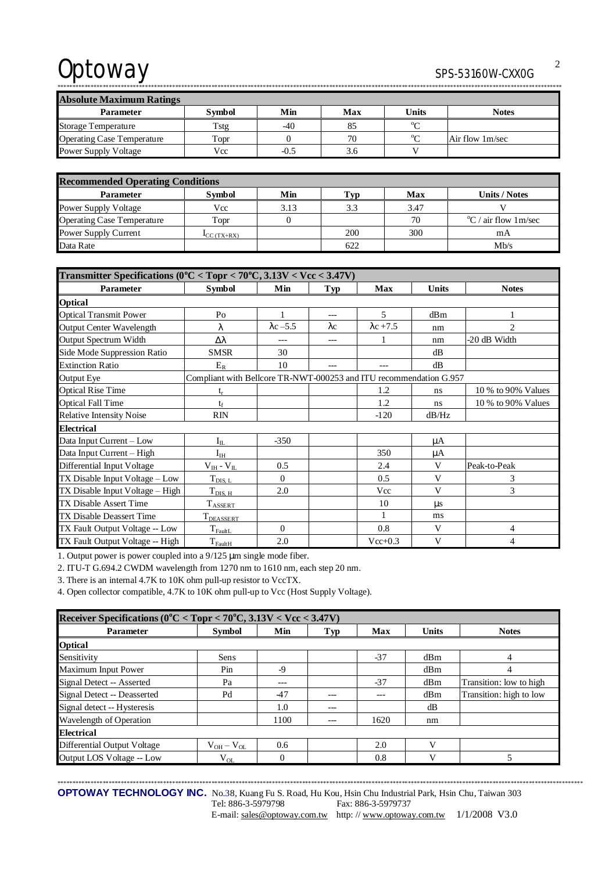# Optoway

### SPS-53160W-CXX0G

**Absolute Maximum Ratings** Parameter **Symbol** Min Max Units **Notes**  $\overline{C}$  $-40$ 85 Tstg Storage Temperature  $\overline{C}$ **Operating Case Temperature** Topr  $\boldsymbol{0}$ 70 Air flow 1m/sec Power Supply Voltage Vcc  $-0.5$ 3.6  $\overline{\mathbf{V}}$ 

| <b>Recommended Operating Conditions</b> |                           |      |     |      |                                     |  |  |
|-----------------------------------------|---------------------------|------|-----|------|-------------------------------------|--|--|
| <b>Parameter</b>                        | <b>Symbol</b>             | Min  | Typ | Max  | <b>Units / Notes</b>                |  |  |
| Power Supply Voltage                    | Vcc                       | 3.13 | 3.3 | 3.47 |                                     |  |  |
| <b>Operating Case Temperature</b>       | Topr                      |      |     | 70   | $\rm{^{\circ}C}$ / air flow 1 m/sec |  |  |
| Power Supply Current                    | $\mathbf{I}_{CC}$ (TX+RX) |      | 200 | 300  | mΑ                                  |  |  |
| Data Rate                               |                           |      | 622 |      | Mb/s                                |  |  |

| Transmitter Specifications ( $0^{\circ}$ C < Topr < 70 $^{\circ}$ C, 3.13V < Vcc < 3.47V) |                                                                    |                  |             |                  |              |                    |  |  |  |
|-------------------------------------------------------------------------------------------|--------------------------------------------------------------------|------------------|-------------|------------------|--------------|--------------------|--|--|--|
| Parameter                                                                                 | <b>Symbol</b>                                                      | Min              | <b>Typ</b>  | Max              | <b>Units</b> | <b>Notes</b>       |  |  |  |
| <b>Optical</b>                                                                            |                                                                    |                  |             |                  |              |                    |  |  |  |
| <b>Optical Transmit Power</b>                                                             | P <sub>0</sub>                                                     | 1                | $---$       | 5                | dBm          |                    |  |  |  |
| <b>Output Center Wavelength</b>                                                           | λ                                                                  | $\lambda$ c -5.5 | $\lambda c$ | $\lambda$ c +7.5 | nm           | $\overline{2}$     |  |  |  |
| <b>Output Spectrum Width</b>                                                              | Δλ                                                                 | ---              | $---$       |                  | nm           | -20 dB Width       |  |  |  |
| Side Mode Suppression Ratio                                                               | <b>SMSR</b>                                                        | 30               |             |                  | dB           |                    |  |  |  |
| <b>Extinction Ratio</b>                                                                   | $E_R$                                                              | 10               |             |                  | dB           |                    |  |  |  |
| Output Eye                                                                                | Compliant with Bellcore TR-NWT-000253 and ITU recommendation G.957 |                  |             |                  |              |                    |  |  |  |
| <b>Optical Rise Time</b>                                                                  | $t_{r}$                                                            |                  |             | 1.2              | ns           | 10 % to 90% Values |  |  |  |
| <b>Optical Fall Time</b>                                                                  | $t_f$                                                              |                  |             | 1.2              | ns           | 10 % to 90% Values |  |  |  |
| <b>Relative Intensity Noise</b>                                                           | <b>RIN</b>                                                         |                  |             | $-120$           | dB/Hz        |                    |  |  |  |
| <b>Electrical</b>                                                                         |                                                                    |                  |             |                  |              |                    |  |  |  |
| Data Input Current - Low                                                                  | $I_{IL}$                                                           | $-350$           |             |                  | μA           |                    |  |  |  |
| Data Input Current - High                                                                 | $I_{IH}$                                                           |                  |             | 350              | μA           |                    |  |  |  |
| Differential Input Voltage                                                                | $V_{IH} - V_{IL}$                                                  | 0.5              |             | 2.4              | V            | Peak-to-Peak       |  |  |  |
| TX Disable Input Voltage - Low                                                            | $T_{DIS, L}$                                                       | $\Omega$         |             | 0.5              | V            | 3                  |  |  |  |
| TX Disable Input Voltage - High                                                           | $T_{\text{DIS, H}}$                                                | 2.0              |             | Vcc              | V            | 3                  |  |  |  |
| <b>TX Disable Assert Time</b>                                                             | $T_{\text{ASSERT}}$                                                |                  |             | 10               | $\mu$ s      |                    |  |  |  |
| TX Disable Deassert Time                                                                  | T <sub>DEASSERT</sub>                                              |                  |             | 1                | ms           |                    |  |  |  |
| TX Fault Output Voltage -- Low                                                            | $T_{\rm{FaultL}}$                                                  | $\Omega$         |             | 0.8              | V            | 4                  |  |  |  |
| TX Fault Output Voltage -- High                                                           | $T_{FaultH}$                                                       | 2.0              |             | $Vec+0.3$        | V            | 4                  |  |  |  |

1. Output power is power coupled into a 9/125 µm single mode fiber.

2. ITU-T G.694.2 CWDM wavelength from 1270 nm to 1610 nm, each step 20 nm.

3. There is an internal 4.7K to 10K ohm pull-up resistor to VccTX.

4. Open collector compatible, 4.7K to 10K ohm pull-up to Vcc (Host Supply Voltage).

| Receiver Specifications ( $0^{\circ}$ C < Topr < 70 $^{\circ}$ C, 3.13V < Vcc < 3.47V) |                   |          |         |       |              |                         |  |  |
|----------------------------------------------------------------------------------------|-------------------|----------|---------|-------|--------------|-------------------------|--|--|
| <b>Parameter</b>                                                                       | Symbol            | Min      | Typ     | Max   | <b>Units</b> | <b>Notes</b>            |  |  |
| <b>Optical</b>                                                                         |                   |          |         |       |              |                         |  |  |
| Sensitivity                                                                            | Sens              |          |         | $-37$ | dBm          | 4                       |  |  |
| Maximum Input Power                                                                    | Pin               | $-9$     |         |       | dBm          | 4                       |  |  |
| Signal Detect -- Asserted                                                              | Pa                | $---$    |         | $-37$ | dBm          | Transition: low to high |  |  |
| Signal Detect -- Deasserted                                                            | Pd                | $-47$    | $---$   | ---   | dBm          | Transition: high to low |  |  |
| Signal detect -- Hysteresis                                                            |                   | 1.0      | $- - -$ |       | dB           |                         |  |  |
| Wavelength of Operation                                                                |                   | 1100     | $---$   | 1620  | nm           |                         |  |  |
| <b>Electrical</b>                                                                      |                   |          |         |       |              |                         |  |  |
| Differential Output Voltage                                                            | $V_{OH} - V_{OL}$ | 0.6      |         | 2.0   | V)           |                         |  |  |
| Output LOS Voltage -- Low                                                              | $V_{OL}$          | $\Omega$ |         | 0.8   | V            | 5                       |  |  |

OPTOWAY TECHNOLOGY INC. No.38, Kuang Fu S. Road, Hu Kou, Hsin Chu Industrial Park, Hsin Chu, Taiwan 303

Tel: 886-3-5979798 Fax: 886-3-5979737

E-mail: sales@optoway.com.tw http://www.optoway.com.tw 1/1/2008 V3.0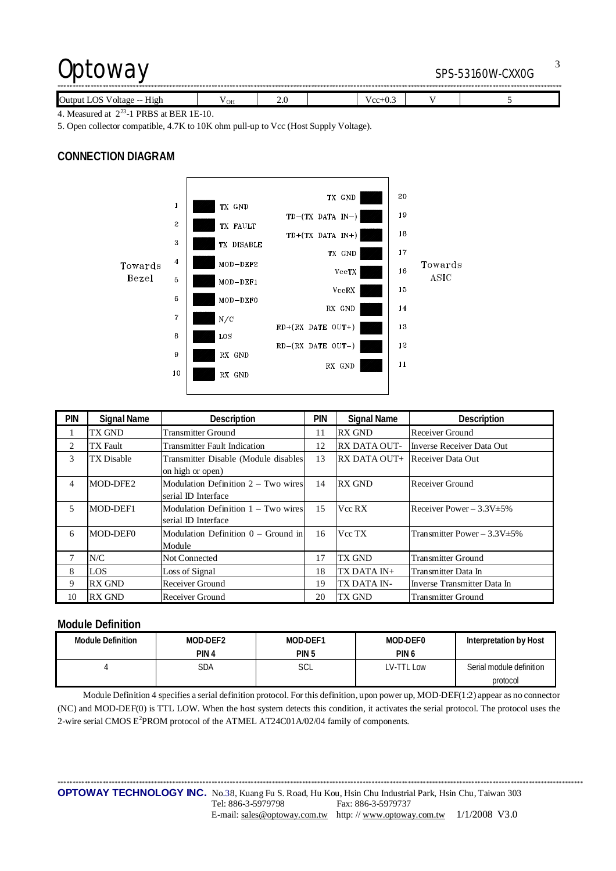## Optoway SPS-53160W-CXX0G

| Output<br>LOS<br>$\vee$ voltage -- $\vee$ .<br>H12h | $\sim$<br>OН | 2.J |  | w<br>ن س |  |  |  |  |
|-----------------------------------------------------|--------------|-----|--|----------|--|--|--|--|

4. Measured at  $2^{23}$ -1 PRBS at BER 1E-10.

5. Open collector compatible, 4.7K to 10K ohm pull-up to Vcc (Host Supply Voltage).

### **CONNECTION DIAGRAM**



| <b>PIN</b> | <b>Signal Name</b> | Description                           | pin | <b>Signal Name</b>  | <b>Description</b>                |
|------------|--------------------|---------------------------------------|-----|---------------------|-----------------------------------|
|            | TX GND             | <b>Transmitter Ground</b>             | 11  | <b>RX GND</b>       | Receiver Ground                   |
| 2          | TX Fault           | <b>Transmitter Fault Indication</b>   | 12  | <b>RX DATA OUT-</b> | Inverse Receiver Data Out         |
| 3          | TX Disable         | Transmitter Disable (Module disables  | 13  | RX DATA OUT+        | Receiver Data Out                 |
|            |                    | on high or open)                      |     |                     |                                   |
| 4          | MOD-DFE2           | Modulation Definition $2 - Two wires$ | 14  | <b>RX GND</b>       | Receiver Ground                   |
|            |                    | serial ID Interface                   |     |                     |                                   |
| 5          | MOD-DEF1           | Modulation Definition $1 - Two wires$ | 15  | Vcc RX              | Receiver Power $-3.3V \pm 5\%$    |
|            |                    | serial ID Interface                   |     |                     |                                   |
| 6          | MOD-DEF0           | Modulation Definition $0 -$ Ground in | 16  | Vcc TX              | Transmitter Power $-3.3V \pm 5\%$ |
|            |                    | Module                                |     |                     |                                   |
|            | N/C                | Not Connected                         | 17  | TX GND              | <b>Transmitter Ground</b>         |
| 8          | <b>LOS</b>         | Loss of Signal                        | 18  | TX DATA IN+         | Transmitter Data In               |
| 9          | <b>RX GND</b>      | Receiver Ground                       | 19  | TX DATA IN-         | Inverse Transmitter Data In       |
| 10         | <b>RX GND</b>      | Receiver Ground                       | 20  | TX GND              | <b>Transmitter Ground</b>         |

#### **Module Definition**

| <b>Module Definition</b> | MOD-DEF2         | MOD-DEF1         | MOD-DEF0   | Interpretation by Host   |
|--------------------------|------------------|------------------|------------|--------------------------|
|                          | PIN <sub>4</sub> | PIN <sub>5</sub> | PIN 6      |                          |
|                          | SDA              | SCL              | LV-TTL Low | Serial module definition |
|                          |                  |                  |            | protocol                 |

Module Definition 4 specifies a serial definition protocol. For this definition, upon power up, MOD-DEF(1:2) appear as no connector (NC) and MOD-DEF(0) is TTL LOW. When the host system detects this condition, it activates the serial protocol. The protocol uses the 2-wire serial CMOS E<sup>2</sup>PROM protocol of the ATMEL AT24C01A/02/04 family of components.

\*\*\*\*\*\*\*\*\*\*\*\*\*\*\*\*\*\*\*\*\*\*\*\*\*\*\*\*\*\*\*\*\*\*\*\*\*\*\*\*\*\*\*\*\*\*\*\*\*\*\*\*\*\*\*\*\*\*\*\*\*\*\*\*\*\*\*\*\*\*\*\*\*\*\*\*\*\*\*\*\*\*\*\*\*\*\*\*\*\*\*\*\*\*\*\*\*\*\*\*\*\*\*\*\*\*\*\*\*\*\*\*\*\*\*\*\*\*\*\*\*\*\*\*\*\*\*\*\*\*\*\*\*\*\*\*\*\*\*\*\*\*\*\*\*\*\*\*\*\*\*\*\*\*\*\*\*\*\*\*\*\*\*\*\*\*\*\*\*\*\*\*\*\* **OPTOWAY TECHNOLOGY INC.** No.38, Kuang Fu S. Road, Hu Kou, Hsin Chu Industrial Park, Hsin Chu, Taiwan 303 Tel: 886-3-5979798 Fax: 886-3-5979737

E-mail: [sales@optoway.com.tw](mailto:sales@optoway.com.tw) http: // [www.optoway.com.tw](http://www.optoway.com.tw) 1/1/2008 V3.0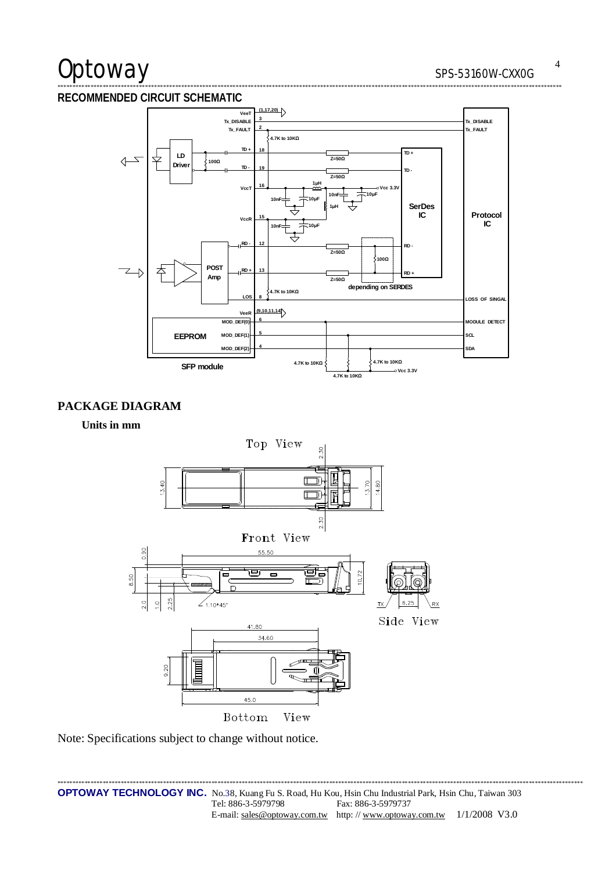# Optoway

#### RECOMMENDED CIRCUIT SCHEMATIC



### PACKAGE DIAGRAM

Units in mm



Note: Specifications subject to change without notice.

 $\overline{4}$ 

. . . . . . . .